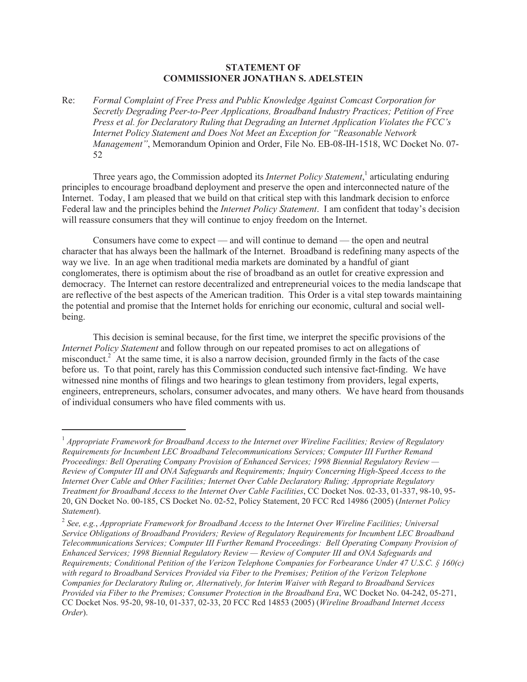## **STATEMENT OF COMMISSIONER JONATHAN S. ADELSTEIN**

Re: *Formal Complaint of Free Press and Public Knowledge Against Comcast Corporation for Secretly Degrading Peer-to-Peer Applications, Broadband Industry Practices; Petition of Free Press et al. for Declaratory Ruling that Degrading an Internet Application Violates the FCC's Internet Policy Statement and Does Not Meet an Exception for "Reasonable Network Management"*, Memorandum Opinion and Order, File No. EB-08-IH-1518, WC Docket No. 07- 52

Three years ago, the Commission adopted its *Internet Policy Statement*, 1 articulating enduring principles to encourage broadband deployment and preserve the open and interconnected nature of the Internet. Today, I am pleased that we build on that critical step with this landmark decision to enforce Federal law and the principles behind the *Internet Policy Statement*. I am confident that today's decision will reassure consumers that they will continue to enjoy freedom on the Internet.

Consumers have come to expect — and will continue to demand — the open and neutral character that has always been the hallmark of the Internet. Broadband is redefining many aspects of the way we live. In an age when traditional media markets are dominated by a handful of giant conglomerates, there is optimism about the rise of broadband as an outlet for creative expression and democracy. The Internet can restore decentralized and entrepreneurial voices to the media landscape that are reflective of the best aspects of the American tradition. This Order is a vital step towards maintaining the potential and promise that the Internet holds for enriching our economic, cultural and social wellbeing.

This decision is seminal because, for the first time, we interpret the specific provisions of the *Internet Policy Statement* and follow through on our repeated promises to act on allegations of misconduct.<sup>2</sup> At the same time, it is also a narrow decision, grounded firmly in the facts of the case before us. To that point, rarely has this Commission conducted such intensive fact-finding. We have witnessed nine months of filings and two hearings to glean testimony from providers, legal experts, engineers, entrepreneurs, scholars, consumer advocates, and many others. We have heard from thousands of individual consumers who have filed comments with us.

<sup>&</sup>lt;sup>1</sup> Appropriate Framework for Broadband Access to the Internet over Wireline Facilities; Review of Regulatory *Requirements for Incumbent LEC Broadband Telecommunications Services; Computer III Further Remand Proceedings: Bell Operating Company Provision of Enhanced Services; 1998 Biennial Regulatory Review — Review of Computer III and ONA Safeguards and Requirements; Inquiry Concerning High-Speed Access to the Internet Over Cable and Other Facilities; Internet Over Cable Declaratory Ruling; Appropriate Regulatory Treatment for Broadband Access to the Internet Over Cable Facilities*, CC Docket Nos. 02-33, 01-337, 98-10, 95- 20, GN Docket No. 00-185, CS Docket No. 02-52, Policy Statement, 20 FCC Rcd 14986 (2005) (*Internet Policy Statement*).

<sup>2</sup> *See, e.g.*, *Appropriate Framework for Broadband Access to the Internet Over Wireline Facilities; Universal Service Obligations of Broadband Providers; Review of Regulatory Requirements for Incumbent LEC Broadband Telecommunications Services; Computer III Further Remand Proceedings: Bell Operating Company Provision of Enhanced Services; 1998 Biennial Regulatory Review — Review of Computer III and ONA Safeguards and Requirements; Conditional Petition of the Verizon Telephone Companies for Forbearance Under 47 U.S.C. § 160(c) with regard to Broadband Services Provided via Fiber to the Premises; Petition of the Verizon Telephone Companies for Declaratory Ruling or, Alternatively, for Interim Waiver with Regard to Broadband Services Provided via Fiber to the Premises; Consumer Protection in the Broadband Era*, WC Docket No. 04-242, 05-271, CC Docket Nos. 95-20, 98-10, 01-337, 02-33, 20 FCC Rcd 14853 (2005) (*Wireline Broadband Internet Access Order*).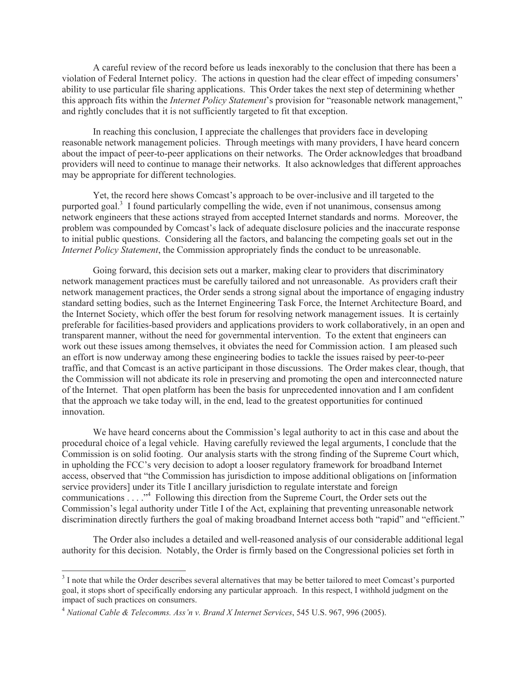A careful review of the record before us leads inexorably to the conclusion that there has been a violation of Federal Internet policy. The actions in question had the clear effect of impeding consumers' ability to use particular file sharing applications. This Order takes the next step of determining whether this approach fits within the *Internet Policy Statement*'s provision for "reasonable network management," and rightly concludes that it is not sufficiently targeted to fit that exception.

In reaching this conclusion, I appreciate the challenges that providers face in developing reasonable network management policies. Through meetings with many providers, I have heard concern about the impact of peer-to-peer applications on their networks. The Order acknowledges that broadband providers will need to continue to manage their networks. It also acknowledges that different approaches may be appropriate for different technologies.

Yet, the record here shows Comcast's approach to be over-inclusive and ill targeted to the purported goal.<sup>3</sup> I found particularly compelling the wide, even if not unanimous, consensus among network engineers that these actions strayed from accepted Internet standards and norms. Moreover, the problem was compounded by Comcast's lack of adequate disclosure policies and the inaccurate response to initial public questions. Considering all the factors, and balancing the competing goals set out in the *Internet Policy Statement*, the Commission appropriately finds the conduct to be unreasonable.

Going forward, this decision sets out a marker, making clear to providers that discriminatory network management practices must be carefully tailored and not unreasonable. As providers craft their network management practices, the Order sends a strong signal about the importance of engaging industry standard setting bodies, such as the Internet Engineering Task Force, the Internet Architecture Board, and the Internet Society, which offer the best forum for resolving network management issues. It is certainly preferable for facilities-based providers and applications providers to work collaboratively, in an open and transparent manner, without the need for governmental intervention. To the extent that engineers can work out these issues among themselves, it obviates the need for Commission action. I am pleased such an effort is now underway among these engineering bodies to tackle the issues raised by peer-to-peer traffic, and that Comcast is an active participant in those discussions. The Order makes clear, though, that the Commission will not abdicate its role in preserving and promoting the open and interconnected nature of the Internet. That open platform has been the basis for unprecedented innovation and I am confident that the approach we take today will, in the end, lead to the greatest opportunities for continued innovation.

We have heard concerns about the Commission's legal authority to act in this case and about the procedural choice of a legal vehicle. Having carefully reviewed the legal arguments, I conclude that the Commission is on solid footing. Our analysis starts with the strong finding of the Supreme Court which, in upholding the FCC's very decision to adopt a looser regulatory framework for broadband Internet access, observed that "the Commission has jurisdiction to impose additional obligations on [information service providers] under its Title I ancillary jurisdiction to regulate interstate and foreign communications . . . ."<sup>4</sup> Following this direction from the Supreme Court, the Order sets out the Commission's legal authority under Title I of the Act, explaining that preventing unreasonable network discrimination directly furthers the goal of making broadband Internet access both "rapid" and "efficient."

The Order also includes a detailed and well-reasoned analysis of our considerable additional legal authority for this decision. Notably, the Order is firmly based on the Congressional policies set forth in

 $3$  I note that while the Order describes several alternatives that may be better tailored to meet Comcast's purported goal, it stops short of specifically endorsing any particular approach. In this respect, I withhold judgment on the impact of such practices on consumers.

<sup>4</sup> *National Cable & Telecomms. Ass'n v. Brand X Internet Services*, 545 U.S. 967, 996 (2005).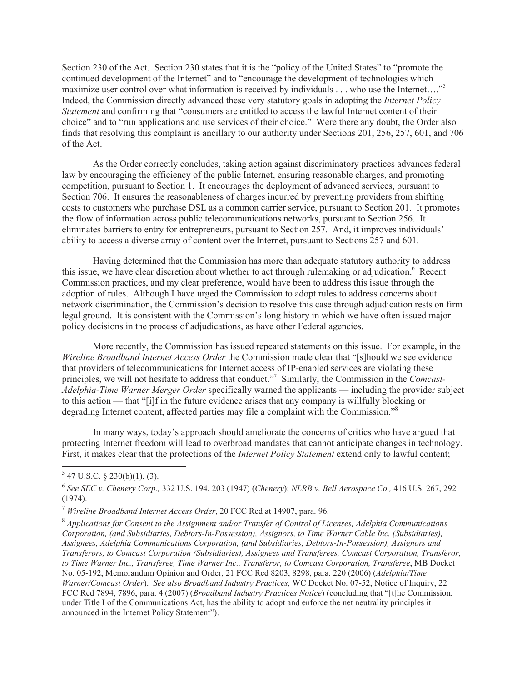Section 230 of the Act. Section 230 states that it is the "policy of the United States" to "promote the continued development of the Internet" and to "encourage the development of technologies which maximize user control over what information is received by individuals . . . who use the Internet...."<sup>5</sup> Indeed, the Commission directly advanced these very statutory goals in adopting the *Internet Policy Statement* and confirming that "consumers are entitled to access the lawful Internet content of their choice" and to "run applications and use services of their choice." Were there any doubt, the Order also finds that resolving this complaint is ancillary to our authority under Sections 201, 256, 257, 601, and 706 of the Act.

As the Order correctly concludes, taking action against discriminatory practices advances federal law by encouraging the efficiency of the public Internet, ensuring reasonable charges, and promoting competition, pursuant to Section 1. It encourages the deployment of advanced services, pursuant to Section 706. It ensures the reasonableness of charges incurred by preventing providers from shifting costs to customers who purchase DSL as a common carrier service, pursuant to Section 201. It promotes the flow of information across public telecommunications networks, pursuant to Section 256. It eliminates barriers to entry for entrepreneurs, pursuant to Section 257. And, it improves individuals' ability to access a diverse array of content over the Internet, pursuant to Sections 257 and 601.

Having determined that the Commission has more than adequate statutory authority to address this issue, we have clear discretion about whether to act through rulemaking or adjudication.<sup>6</sup> Recent Commission practices, and my clear preference, would have been to address this issue through the adoption of rules. Although I have urged the Commission to adopt rules to address concerns about network discrimination, the Commission's decision to resolve this case through adjudication rests on firm legal ground. It is consistent with the Commission's long history in which we have often issued major policy decisions in the process of adjudications, as have other Federal agencies.

More recently, the Commission has issued repeated statements on this issue. For example, in the *Wireline Broadband Internet Access Order* the Commission made clear that "[s]hould we see evidence that providers of telecommunications for Internet access of IP-enabled services are violating these principles, we will not hesitate to address that conduct."<sup>7</sup> Similarly, the Commission in the *Comcast*-*Adelphia-Time Warner Merger Order* specifically warned the applicants — including the provider subject to this action — that "[i]f in the future evidence arises that any company is willfully blocking or degrading Internet content, affected parties may file a complaint with the Commission."<sup>8</sup>

In many ways, today's approach should ameliorate the concerns of critics who have argued that protecting Internet freedom will lead to overbroad mandates that cannot anticipate changes in technology. First, it makes clear that the protections of the *Internet Policy Statement* extend only to lawful content;

 $5$  47 U.S.C. § 230(b)(1), (3).

<sup>6</sup> *See SEC v. Chenery Corp.,* 332 U.S. 194, 203 (1947) (*Chenery*); *NLRB v. Bell Aerospace Co.,* 416 U.S. 267, 292 (1974).

<sup>7</sup> *Wireline Broadband Internet Access Order*, 20 FCC Rcd at 14907, para. 96.

<sup>8</sup> *Applications for Consent to the Assignment and/or Transfer of Control of Licenses, Adelphia Communications Corporation, (and Subsidiaries, Debtors-In-Possession), Assignors, to Time Warner Cable Inc. (Subsidiaries), Assignees, Adelphia Communications Corporation, (and Subsidiaries, Debtors-In-Possession), Assignors and Transferors, to Comcast Corporation (Subsidiaries), Assignees and Transferees, Comcast Corporation, Transferor, to Time Warner Inc., Transferee, Time Warner Inc., Transferor, to Comcast Corporation, Transferee*, MB Docket No. 05-192, Memorandum Opinion and Order, 21 FCC Rcd 8203, 8298, para. 220 (2006) (*Adelphia/Time Warner/Comcast Order*). *See also Broadband Industry Practices,* WC Docket No. 07-52, Notice of Inquiry, 22 FCC Rcd 7894, 7896, para. 4 (2007) (*Broadband Industry Practices Notice*) (concluding that "[t]he Commission, under Title I of the Communications Act, has the ability to adopt and enforce the net neutrality principles it announced in the Internet Policy Statement").